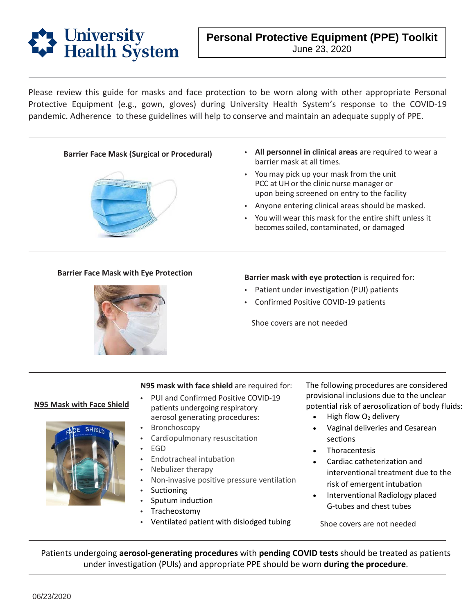

Please review this guide for masks and face protection to be worn along with other appropriate Personal Protective Equipment (e.g., gown, gloves) during University Health System's response to the COVID-19 pandemic. Adherence to these guidelines will help to conserve and maintain an adequate supply of PPE.



- **Barrier Face Mask (Surgical or Procedural) All personnel in clinical areas** are required to wear a barrier mask at all times.
	- • You may pick up your mask from the unit PCC at UH or the clinic nurse manager or upon being screened on entry to the facility
	- Anyone entering clinical areas should be masked.
	- • You will wear this mask for the entire shift unless it becomes soiled, contaminated, or damaged



#### **Barrier Face Mask with Eye Protection**<br>**Barrier mask with eye protection** is required for:

- Patient under investigation (PUI) patients
- Confirmed Positive COVID-19 patients

Shoe covers are not needed

**N95 Mask with Face Shield** 



#### **N95 mask with face shield** are required for:

- • PUI and Confirmed Positive COVID-19 patients undergoing respiratory aerosol generating procedures:
- **Bronchoscopy**
- Cardiopulmonary resuscitation
- EGD
- Endotracheal intubation
- Nebulizer therapy
- Non-invasive positive pressure ventilation
- **Suctioning**
- Sputum induction
- **Tracheostomy**
- Ventilated patient with dislodged tubing

The following procedures are considered provisional inclusions due to the unclear potential risk of aerosolization of body fluids:

- High flow  $O<sub>2</sub>$  delivery
- Vaginal deliveries and Cesarean sections
- **Thoracentesis**
- Cardiac catheterization and interventional treatment due to the risk of emergent intubation
- Interventional Radiology placed G-tubes and chest tubes

Shoe covers are not needed

Patients undergoing **aerosol-generating procedures** with **pending COVID tests** should be treated as patients under investigation (PUIs) and appropriate PPE should be worn **during the procedure**.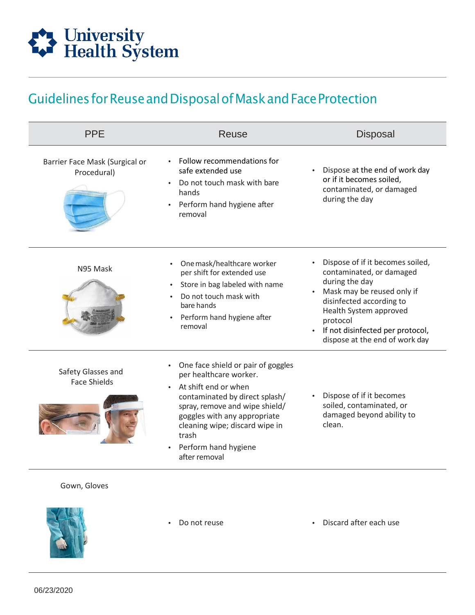

## GuidelinesforReuseandDisposalofMaskandFaceProtection

| <b>PPE</b>                                    | Reuse                                                                                                                                                                                                                                                                        | <b>Disposal</b>                                                                                                                                                                                                                                                   |
|-----------------------------------------------|------------------------------------------------------------------------------------------------------------------------------------------------------------------------------------------------------------------------------------------------------------------------------|-------------------------------------------------------------------------------------------------------------------------------------------------------------------------------------------------------------------------------------------------------------------|
| Barrier Face Mask (Surgical or<br>Procedural) | Follow recommendations for<br>safe extended use<br>Do not touch mask with bare<br>hands<br>Perform hand hygiene after<br>removal                                                                                                                                             | Dispose at the end of work day<br>$\bullet$<br>or if it becomes soiled,<br>contaminated, or damaged<br>during the day                                                                                                                                             |
| N95 Mask                                      | One mask/healthcare worker<br>$\bullet$<br>per shift for extended use<br>Store in bag labeled with name<br>$\bullet$<br>Do not touch mask with<br>bare hands<br>Perform hand hygiene after<br>$\bullet$<br>removal                                                           | Dispose of if it becomes soiled,<br>contaminated, or damaged<br>during the day<br>Mask may be reused only if<br>disinfected according to<br>Health System approved<br>protocol<br>If not disinfected per protocol,<br>$\bullet$<br>dispose at the end of work day |
| Safety Glasses and<br><b>Face Shields</b>     | One face shield or pair of goggles<br>per healthcare worker.<br>At shift end or when<br>contaminated by direct splash/<br>spray, remove and wipe shield/<br>goggles with any appropriate<br>cleaning wipe; discard wipe in<br>trash<br>Perform hand hygiene<br>after removal | Dispose of if it becomes<br>soiled, contaminated, or<br>damaged beyond ability to<br>clean.                                                                                                                                                                       |

#### Gown, Gloves



- 
- Do not reuse Discard after each use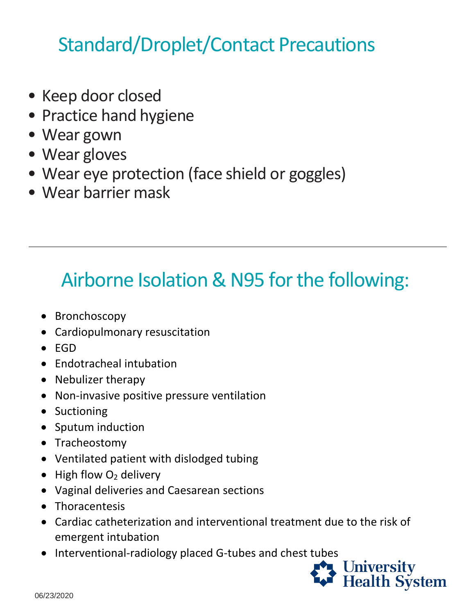## Standard/Droplet/Contact Precautions

- Keep door closed
- Practice hand hygiene
- Wear gown
- Wear gloves
- Wear eye protection (face shield or goggles)
- Wear barrier mask

## Airborne Isolation & N95 for the following:

- Bronchoscopy
- Cardiopulmonary resuscitation
- EGD
- Endotracheal intubation
- Nebulizer therapy
- Non-invasive positive pressure ventilation
- Suctioning
- Sputum induction
- Tracheostomy
- Ventilated patient with dislodged tubing
- $\bullet$  High flow  $O_2$  delivery
- Vaginal deliveries and Caesarean sections
- Thoracentesis
- Cardiac catheterization and interventional treatment due to the risk of emergent intubation
- Interventional-radiology placed G-tubes and chest tubes

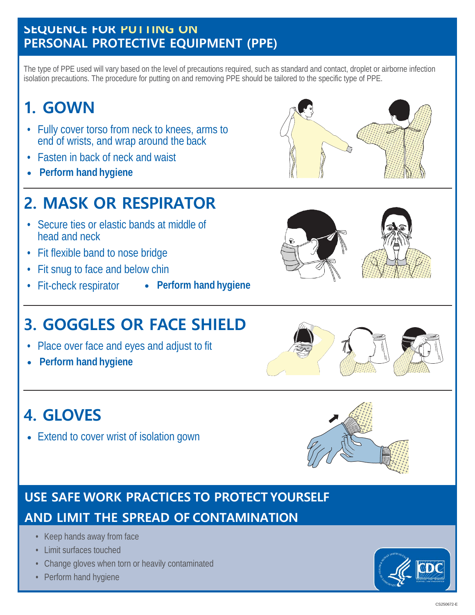#### SEQUENCE FOR PUTTING ON **PERSONAL PROTECTIVE EQUIPMENT (PPE)**

The type of PPE used will vary based on the level of precautions required, such as standard and contact, droplet or airborne infection isolation precautions. The procedure for putting on and removing PPE should be tailored to the specific type of PPE.

## **1. GOWN**

- Fully cover torso from neck to knees, arms to end of wrists, and wrap around the back
- Fasten in back of neck and waist
- **Perform hand hygiene**

## **2. MASK OR RESPIRATOR**

- Secure ties or elastic bands at middle of head and neck
- Fit flexible band to nose bridge
- Fit snug to face and below chin
- 
- Fit-check respirator **Perform hand hygiene**

## **3. GOGGLES OR FACE SHIELD**

- Place over face and eyes and adjust to fit
- **Perform hand hygiene**

## **4. GLOVES**

• Extend to cover wrist of isolation gown

## **USE SAFE WORK PRACTICES TO PROTECT YOURSELF AND LIMIT THE SPREAD OF CONTAMINATION**

- Keep hands away from face
- Limit surfaces touched
- Change gloves when torn or heavily contaminated
- Perform hand hygiene